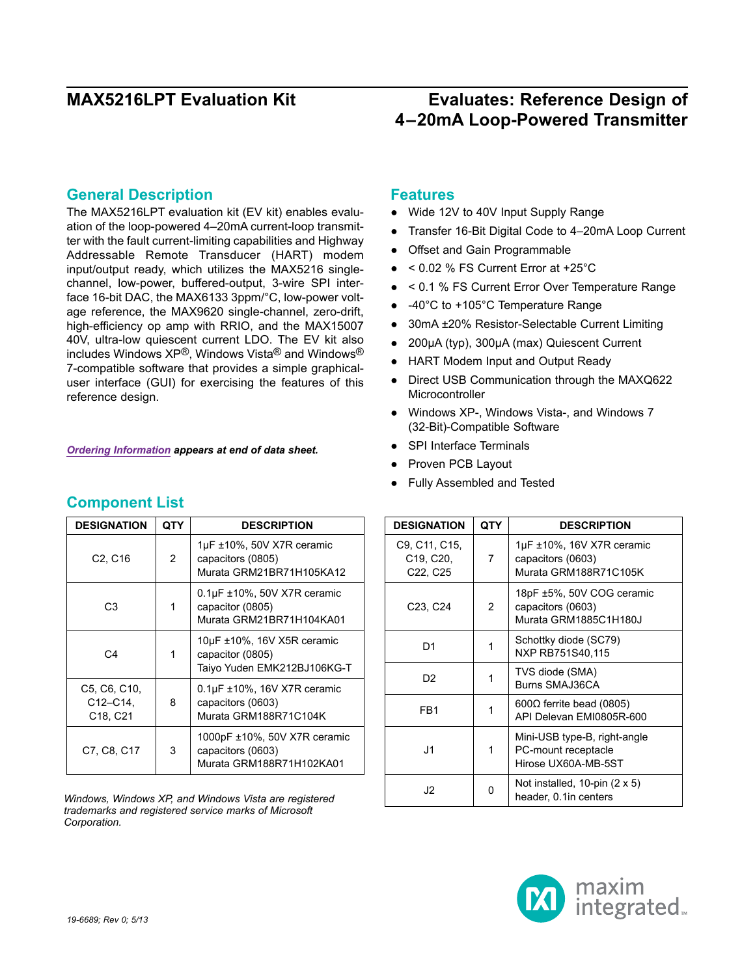### **General Description**

The MAX5216LPT evaluation kit (EV kit) enables evaluation of the loop-powered 4–20mA current-loop transmitter with the fault current-limiting capabilities and Highway Addressable Remote Transducer (HART) modem input/output ready, which utilizes the MAX5216 singlechannel, low-power, buffered-output, 3-wire SPI interface 16-bit DAC, the MAX6133 3ppm/°C, low-power voltage reference, the MAX9620 single-channel, zero-drift, high-efficiency op amp with RRIO, and the MAX15007 40V, ultra-low quiescent current LDO. The EV kit also includes Windows XP®, Windows Vista® and Windows® 7-compatible software that provides a simple graphicaluser interface (GUI) for exercising the features of this reference design.

*[Ordering Information](#page-16-0) appears at end of data sheet.*

| <b>DESIGNATION</b>                      | QTY | <b>DESCRIPTION</b>                                                                 |
|-----------------------------------------|-----|------------------------------------------------------------------------------------|
| C <sub>2</sub> , C <sub>16</sub>        | 2   | $1\mu$ F ±10%, 50V X7R ceramic<br>capacitors (0805)<br>Murata GRM21BR71H105KA12    |
| C3                                      | 1   | $0.1\mu$ F ±10%, 50V X7R ceramic<br>capacitor (0805)<br>Murata GRM21BR71H104KA01   |
| C4                                      | 1   | $10\mu$ F ±10%, 16V X5R ceramic<br>capacitor (0805)<br>Taiyo Yuden EMK212BJ106KG-T |
| C5, C6, C10,<br>$C12 - C14$<br>C18, C21 | 8   | $0.1\mu$ F ±10%, 16V X7R ceramic<br>capacitors (0603)<br>Murata GRM188R71C104K     |
| C7, C8, C17                             | 3   | 1000pF ±10%, 50V X7R ceramic<br>capacitors (0603)<br>Murata GRM188R71H102KA01      |

*Windows, Windows XP, and Windows Vista are registered trademarks and registered service marks of Microsoft Corporation.*

### **Features**

- Wide 12V to 40V Input Supply Range
- Transfer 16-Bit Digital Code to 4–20mA Loop Current
- Offset and Gain Programmable
- $\bullet$  < 0.02 % FS Current Error at +25°C
- < 0.1 % FS Current Error Over Temperature Range
- $-40^{\circ}$ C to +105 $^{\circ}$ C Temperature Range
- 30mA ±20% Resistor-Selectable Current Limiting
- 200µA (typ), 300µA (max) Quiescent Current
- HART Modem Input and Output Ready
- Direct USB Communication through the MAXQ622 **Microcontroller**
- ● Windows XP-, Windows Vista-, and Windows 7 (32-Bit)-Compatible Software
- SPI Interface Terminals
- **Proven PCB Layout**
- ● Fully Assembled and Tested

| <b>DESIGNATION</b>                                                                        | QTY | <b>DESCRIPTION</b>                                                           |
|-------------------------------------------------------------------------------------------|-----|------------------------------------------------------------------------------|
| C9, C11, C15,<br>C <sub>19</sub> , C <sub>20</sub> ,<br>C <sub>22</sub> , C <sub>25</sub> | 7   | $1\mu$ F ±10%, 16V X7R ceramic<br>capacitors (0603)<br>Murata GRM188R71C105K |
| C <sub>23</sub> , C <sub>24</sub>                                                         | 2   | 18pF ±5%, 50V COG ceramic<br>capacitors (0603)<br>Murata GRM1885C1H180J      |
| D <sub>1</sub>                                                                            | 1   | Schottky diode (SC79)<br>NXP RB751S40.115                                    |
| D <sub>2</sub>                                                                            | 1   | TVS diode (SMA)<br>Burns SMAJ36CA                                            |
| FB <sub>1</sub>                                                                           | 1   | 600 $\Omega$ ferrite bead (0805)<br>API Delevan EMI0805R-600                 |
| J1                                                                                        | 1   | Mini-USB type-B, right-angle<br>PC-mount receptacle<br>Hirose UX60A-MB-5ST   |
| J2                                                                                        | 0   | Not installed, 10-pin $(2 \times 5)$<br>header, 0.1 in centers               |



### **Component List**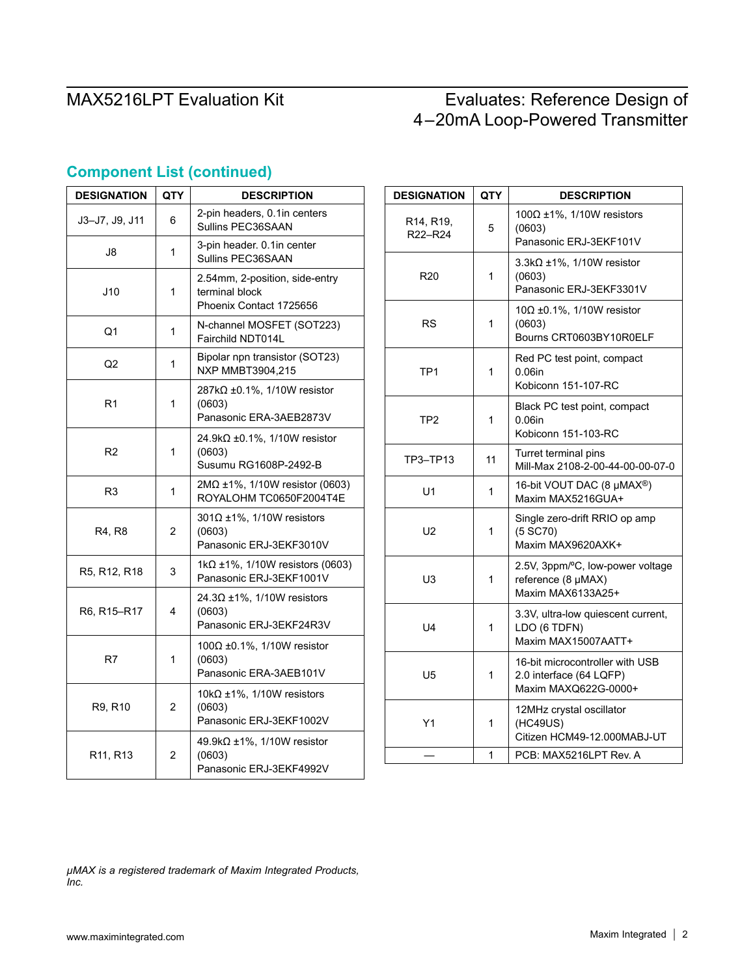| <b>DESIGNATION</b>                | <b>QTY</b>     | <b>DESCRIPTION</b>                                                           |  |
|-----------------------------------|----------------|------------------------------------------------------------------------------|--|
| J3-J7, J9, J11                    | 6              | 2-pin headers, 0.1 in centers<br>Sullins PEC36SAAN                           |  |
| J8                                | 1              | 3-pin header. 0.1in center<br>Sullins PEC36SAAN                              |  |
| J10                               | 1              | 2.54mm, 2-position, side-entry<br>terminal block<br>Phoenix Contact 1725656  |  |
| Q1                                | 1              | N-channel MOSFET (SOT223)<br>Fairchild NDT014L                               |  |
| Q2                                | 1              | Bipolar npn transistor (SOT23)<br>NXP MMBT3904,215                           |  |
| R1                                | 1              | $287k\Omega \pm 0.1\%$ , 1/10W resistor<br>(0603)<br>Panasonic ERA-3AEB2873V |  |
| R <sub>2</sub>                    | 1              | 24.9k $\Omega$ ±0.1%, 1/10W resistor<br>(0603)<br>Susumu RG1608P-2492-B      |  |
| R3                                | 1              | $2M\Omega \pm 1\%$ , 1/10W resistor (0603)<br>ROYALOHM TC0650F2004T4E        |  |
| R4. R8                            | $\overline{2}$ | $301\Omega \pm 1\%$ , 1/10W resistors<br>(0603)<br>Panasonic ERJ-3EKF3010V   |  |
| R5, R12, R18                      | 3              | 1kΩ ±1%, 1/10W resistors (0603)<br>Panasonic ERJ-3EKF1001V                   |  |
| R6, R15-R17                       | 4              | 24.3Ω ±1%, 1/10W resistors<br>(0603)<br>Panasonic ERJ-3EKF24R3V              |  |
| R7                                | 1              | 100Ω ±0.1%, 1/10W resistor<br>(0603)<br>Panasonic ERA-3AEB101V               |  |
| R9, R10                           | 2              | 10k $\Omega$ ±1%, 1/10W resistors<br>(0603)<br>Panasonic ERJ-3EKF1002V       |  |
| R <sub>11</sub> , R <sub>13</sub> | $\overline{2}$ | 49.9kΩ ±1%, 1/10W resistor<br>(0603)<br>Panasonic ERJ-3EKF4992V              |  |

## **Component List (continued)**

| <b>DESIGNATION</b>   | <b>QTY</b> | <b>DESCRIPTION</b>                                                                 |
|----------------------|------------|------------------------------------------------------------------------------------|
| R14, R19,<br>R22-R24 | 5          | 100 $\Omega$ ±1%, 1/10W resistors<br>(0603)<br>Panasonic ERJ-3EKF101V              |
| R <sub>20</sub>      | 1          | $3.3k\Omega \pm 1\%$ , 1/10W resistor<br>(0603)<br>Panasonic ERJ-3EKF3301V         |
| <b>RS</b>            | 1          | $10\Omega \pm 0.1\%$ , 1/10W resistor<br>(0603)<br>Bourns CRT0603BY10R0ELF         |
| TP <sub>1</sub>      | 1          | Red PC test point, compact<br>0.06in<br>Kobiconn 151-107-RC                        |
| TP <sub>2</sub>      | 1          | Black PC test point, compact<br>0.06in<br>Kobiconn 151-103-RC                      |
| TP3-TP13             | 11         | Turret terminal pins<br>Mill-Max 2108-2-00-44-00-00-07-0                           |
| U1                   | 1          | 16-bit VOUT DAC (8 µMAX <sup>®</sup> )<br>Maxim MAX5216GUA+                        |
| U2                   | 1          | Single zero-drift RRIO op amp<br>(5 SC70)<br>Maxim MAX9620AXK+                     |
| U3                   | 1          | 2.5V, 3ppm/°C, low-power voltage<br>reference (8 µMAX)<br>Maxim MAX6133A25+        |
| U4                   | 1          | 3.3V, ultra-low quiescent current,<br>LDO (6 TDFN)<br>Maxim MAX15007AATT+          |
| U5                   | 1          | 16-bit microcontroller with USB<br>2.0 interface (64 LQFP)<br>Maxim MAXQ622G-0000+ |
| Y1                   | 1          | 12MHz crystal oscillator<br>(HC49US)<br>Citizen HCM49-12.000MABJ-UT                |
|                      | 1          | PCB: MAX5216LPT Rev. A                                                             |

*µMAX is a registered trademark of Maxim Integrated Products, Inc.*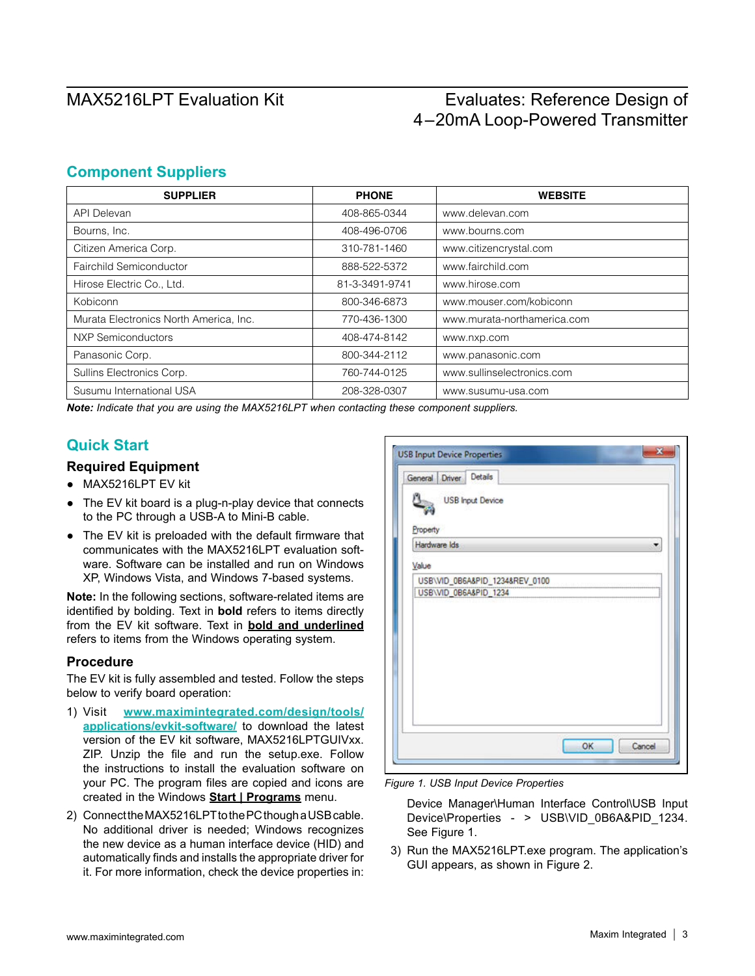### **Component Suppliers**

| <b>SUPPLIER</b>                        | <b>PHONE</b>   | <b>WEBSITE</b>              |
|----------------------------------------|----------------|-----------------------------|
| <b>API Delevan</b>                     | 408-865-0344   | www.delevan.com             |
| Bourns, Inc.                           | 408-496-0706   | www.bourns.com              |
| Citizen America Corp.                  | 310-781-1460   | www.citizencrystal.com      |
| Fairchild Semiconductor                | 888-522-5372   | www.fairchild.com           |
| Hirose Electric Co., Ltd.              | 81-3-3491-9741 | www.hirose.com              |
| Kobiconn                               | 800-346-6873   | www.mouser.com/kobiconn     |
| Murata Electronics North America, Inc. | 770-436-1300   | www.murata-northamerica.com |
| <b>NXP Semiconductors</b>              | 408-474-8142   | www.nxp.com                 |
| Panasonic Corp.                        | 800-344-2112   | www.panasonic.com           |
| Sullins Electronics Corp.              | 760-744-0125   | www.sullinselectronics.com  |
| Susumu International USA               | 208-328-0307   | www.susumu-usa.com          |

*Note: Indicate that you are using the MAX5216LPT when contacting these component suppliers.*

### **Quick Start**

### **Required Equipment**

- ● MAX5216LPT EV kit
- The EV kit board is a plug-n-play device that connects to the PC through a USB-A to Mini-B cable.
- The EV kit is preloaded with the default firmware that communicates with the MAX5216LPT evaluation software. Software can be installed and run on Windows XP, Windows Vista, and Windows 7-based systems.

**Note:** In the following sections, software-related items are identified by bolding. Text in **bold** refers to items directly from the EV kit software. Text in **bold and underlined** refers to items from the Windows operating system.

### **Procedure**

The EV kit is fully assembled and tested. Follow the steps below to verify board operation:

- 1) Visit **[www.maximintegrated.com/design/tools/](http://www.maximintegrated.com/design/tools/applications/evkit-software/) [applications/evkit-software/](http://www.maximintegrated.com/design/tools/applications/evkit-software/)** to download the latest version of the EV kit software, MAX5216LPTGUIVxx. ZIP. Unzip the file and run the setup.exe. Follow the instructions to install the evaluation software on your PC. The program files are copied and icons are created in the Windows **Start | Programs** menu.
- 2) Connect the MAX5216LPT to the PC though a USB cable. No additional driver is needed; Windows recognizes the new device as a human interface device (HID) and automatically finds and installs the appropriate driver for it. For more information, check the device properties in:

| General Driver Details<br><b>USB Input Device</b> |  |
|---------------------------------------------------|--|
| Property                                          |  |
| Hardware Ids                                      |  |
| Value                                             |  |
| USB\VID_0B6A&PID_1234&REV_0100                    |  |
|                                                   |  |
|                                                   |  |

*Figure 1. USB Input Device Properties*

Device Manager\Human Interface Control\USB Input Device\Properties - > USB\VID\_0B6A&PID\_1234. See Figure 1.

3) Run the MAX5216LPT.exe program. The application's GUI appears, as shown in Figure 2.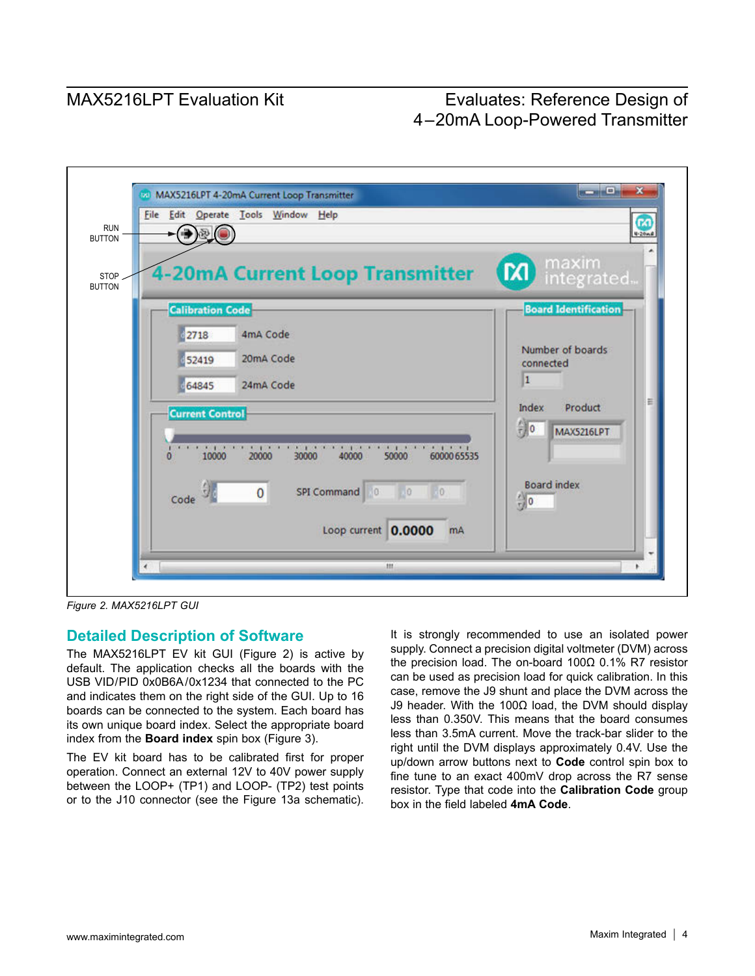

*Figure 2. MAX5216LPT GUI*

### **Detailed Description of Software**

The MAX5216LPT EV kit GUI (Figure 2) is active by default. The application checks all the boards with the USB VID/PID 0x0B6A/0x1234 that connected to the PC and indicates them on the right side of the GUI. Up to 16 boards can be connected to the system. Each board has its own unique board index. Select the appropriate board index from the **Board index** spin box (Figure 3).

The EV kit board has to be calibrated first for proper operation. Connect an external 12V to 40V power supply between the LOOP+ (TP1) and LOOP- (TP2) test points or to the J10 connector (see the Figure 13a schematic). It is strongly recommended to use an isolated power supply. Connect a precision digital voltmeter (DVM) across the precision load. The on-board 100Ω 0.1% R7 resistor can be used as precision load for quick calibration. In this case, remove the J9 shunt and place the DVM across the J9 header. With the 100Ω load, the DVM should display less than 0.350V. This means that the board consumes less than 3.5mA current. Move the track-bar slider to the right until the DVM displays approximately 0.4V. Use the up/down arrow buttons next to **Code** control spin box to fine tune to an exact 400mV drop across the R7 sense resistor. Type that code into the **Calibration Code** group box in the field labeled **4mA Code**.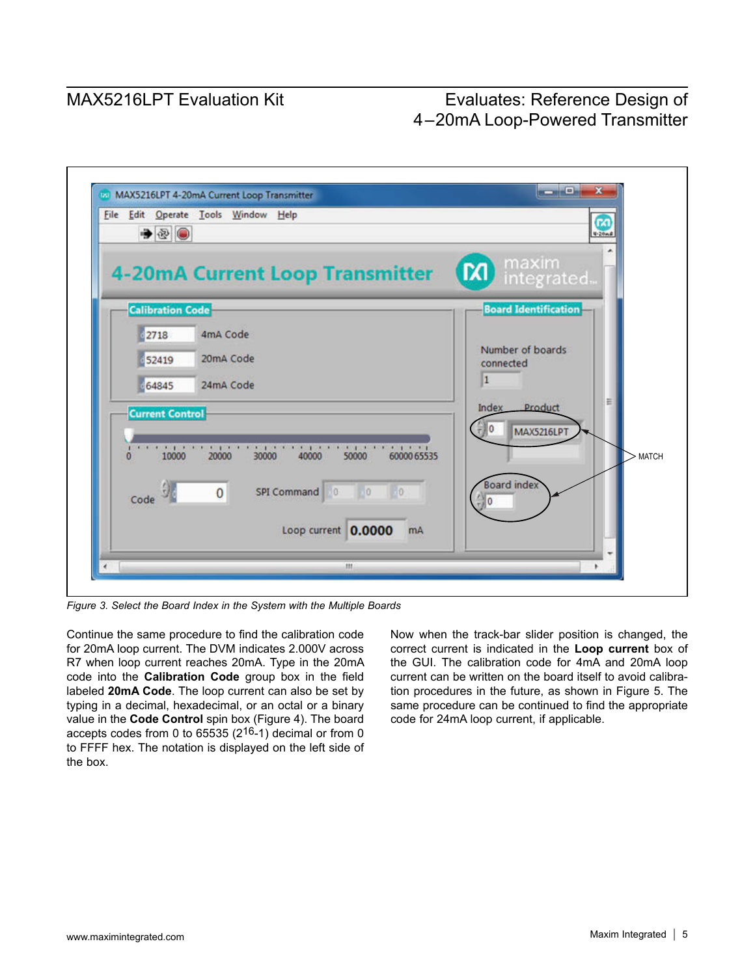| $\rightarrow$           | File Edit Operate Tools Window Help                                                                                                   | Œ<br>$4 - 20mR$             |
|-------------------------|---------------------------------------------------------------------------------------------------------------------------------------|-----------------------------|
|                         | <b>4-20mA Current Loop Transmitter</b>                                                                                                | maxim<br>integrated<br>(x)  |
| <b>Calibration Code</b> |                                                                                                                                       | <b>Board Identification</b> |
| 2718                    | 4mA Code                                                                                                                              | Number of boards            |
| 52419                   | 20mA Code                                                                                                                             | connected                   |
| 64845                   | 24mA Code                                                                                                                             | $\vert$ 1                   |
| <b>Current Control</b>  |                                                                                                                                       | Index Product               |
|                         |                                                                                                                                       | 10<br><b>MAX5216LPT</b>     |
| 10000<br>o              | process and process are process and process and process and process process to the<br>20000<br>40000<br>60000 65535<br>30000<br>50000 | <b>MATCH</b>                |
| Code                    | $\overline{0}$<br>SPI Command 0<br>Jo<br>Ð                                                                                            | <b>Board index</b><br>n     |
|                         | Loop current 0.0000<br>mA                                                                                                             |                             |

*Figure 3. Select the Board Index in the System with the Multiple Boards*

Continue the same procedure to find the calibration code for 20mA loop current. The DVM indicates 2.000V across R7 when loop current reaches 20mA. Type in the 20mA code into the **Calibration Code** group box in the field labeled **20mA Code**. The loop current can also be set by typing in a decimal, hexadecimal, or an octal or a binary value in the **Code Control** spin box (Figure 4). The board accepts codes from 0 to 65535 (216-1) decimal or from 0 to FFFF hex. The notation is displayed on the left side of the box.

Now when the track-bar slider position is changed, the correct current is indicated in the **Loop current** box of the GUI. The calibration code for 4mA and 20mA loop current can be written on the board itself to avoid calibration procedures in the future, as shown in Figure 5. The same procedure can be continued to find the appropriate code for 24mA loop current, if applicable.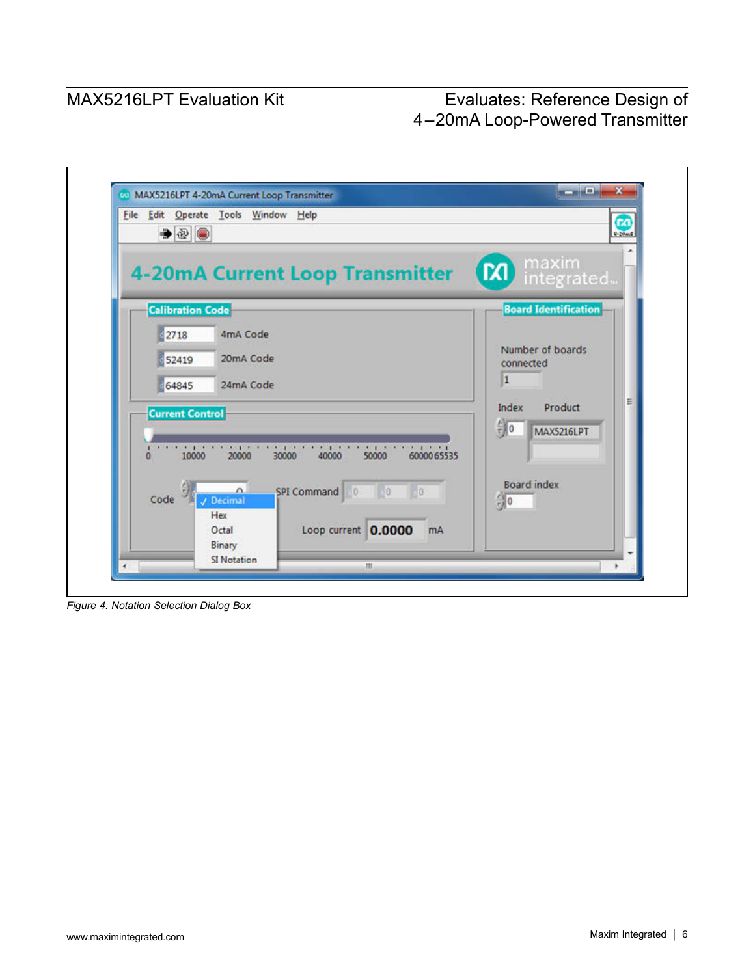

*Figure 4. Notation Selection Dialog Box*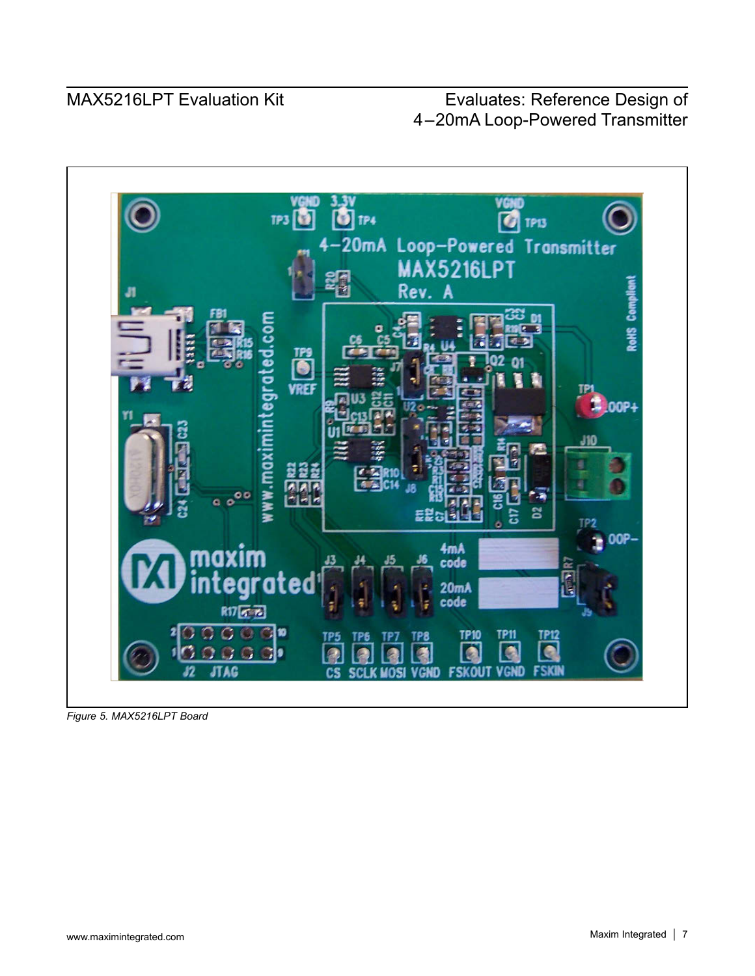

*Figure 5. MAX5216LPT Board*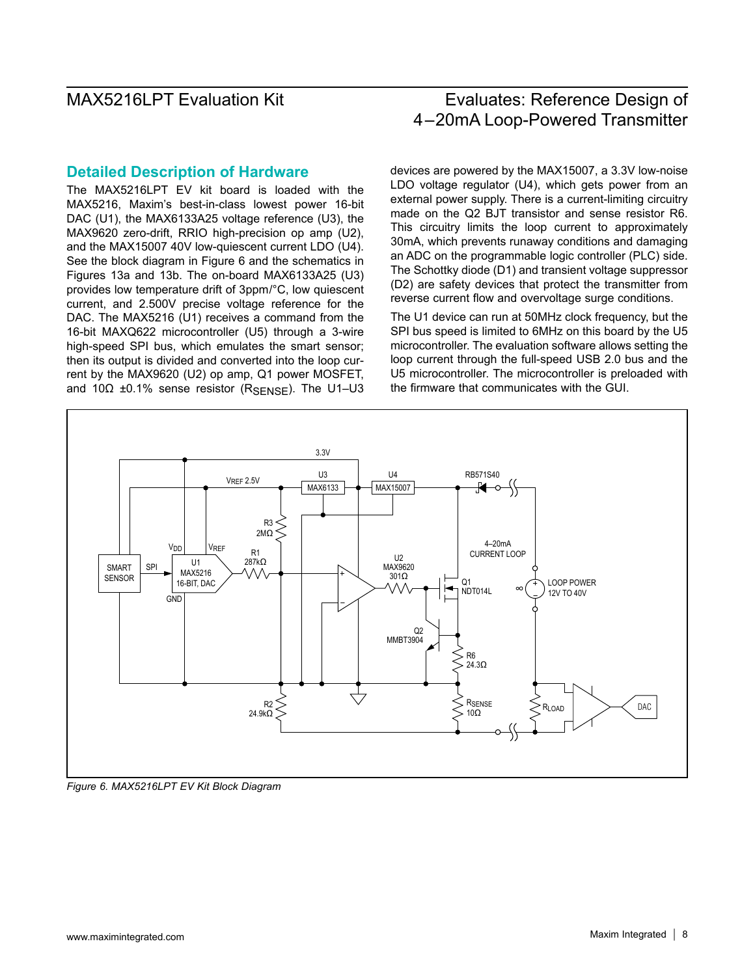### **Detailed Description of Hardware**

The MAX5216LPT EV kit board is loaded with the MAX5216, Maxim's best-in-class lowest power 16-bit DAC (U1), the MAX6133A25 voltage reference (U3), the MAX9620 zero-drift, RRIO high-precision op amp (U2), and the MAX15007 40V low-quiescent current LDO (U4). See the block diagram in Figure 6 and the schematics in Figures 13a and 13b. The on-board MAX6133A25 (U3) provides low temperature drift of 3ppm/°C, low quiescent current, and 2.500V precise voltage reference for the DAC. The MAX5216 (U1) receives a command from the 16-bit MAXQ622 microcontroller (U5) through a 3-wire high-speed SPI bus, which emulates the smart sensor; then its output is divided and converted into the loop current by the MAX9620 (U2) op amp, Q1 power MOSFET, and 10Ω  $±0.1\%$  sense resistor (R<sub>SENSE</sub>). The U1–U3 devices are powered by the MAX15007, a 3.3V low-noise LDO voltage regulator (U4), which gets power from an external power supply. There is a current-limiting circuitry made on the Q2 BJT transistor and sense resistor R6. This circuitry limits the loop current to approximately 30mA, which prevents runaway conditions and damaging an ADC on the programmable logic controller (PLC) side. The Schottky diode (D1) and transient voltage suppressor (D2) are safety devices that protect the transmitter from reverse current flow and overvoltage surge conditions.

The U1 device can run at 50MHz clock frequency, but the SPI bus speed is limited to 6MHz on this board by the U5 microcontroller. The evaluation software allows setting the loop current through the full-speed USB 2.0 bus and the U5 microcontroller. The microcontroller is preloaded with the firmware that communicates with the GUI.



*Figure 6. MAX5216LPT EV Kit Block Diagram*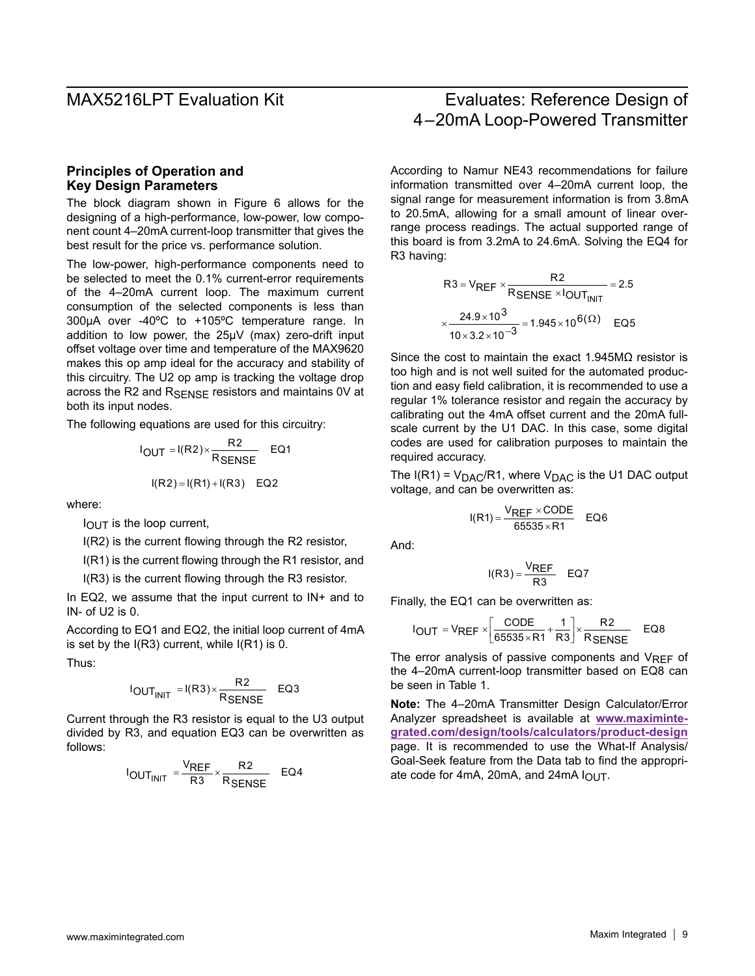### **Principles of Operation and Key Design Parameters**

The block diagram shown in Figure 6 allows for the designing of a high-performance, low-power, low component count 4–20mA current-loop transmitter that gives the best result for the price vs. performance solution.

The low-power, high-performance components need to be selected to meet the 0.1% current-error requirements of the 4–20mA current loop. The maximum current consumption of the selected components is less than 300µA over -40ºC to +105ºC temperature range. In addition to low power, the 25µV (max) zero-drift input offset voltage over time and temperature of the MAX9620 makes this op amp ideal for the accuracy and stability of this circuitry. The U2 op amp is tracking the voltage drop across the R2 and R<sub>SENSE</sub> resistors and maintains 0V at both its input nodes.

The following equations are used for this circuitry:

$$
I_{OUT} = I(R2) \times \frac{R2}{R_{SENSE}} \quad \text{EQ1}
$$

$$
I(R2) = I(R1) + I(R3) \quad \text{EQ2}
$$

where:

 $I<sub>OUT</sub>$  is the loop current,

I(R2) is the current flowing through the R2 resistor,

I(R1) is the current flowing through the R1 resistor, and

I(R3) is the current flowing through the R3 resistor.

In EQ2, we assume that the input current to  $IN<sup>+</sup>$  and to IN- of U2 is 0.

According to EQ1 and EQ2, the initial loop current of 4mA is set by the  $I(R3)$  current, while  $I(R1)$  is 0.

Thus:

$$
I_{OUT_{INIT}} = I(R3) \times \frac{R2}{R_{SENSE}} \quad EQ3
$$

Current through the R3 resistor is equal to the U3 output divided by R3, and equation EQ3 can be overwritten as follows:

$$
I_{\text{OUT}} = \frac{V_{\text{REF}}}{R3} \times \frac{R2}{R_{\text{SENSE}}} \quad \text{EQ4}
$$

### MAX5216LPT Evaluation Kit Evaluates: Reference Design of 4–20mA Loop-Powered Transmitter

According to Namur NE43 recommendations for failure information transmitted over 4–20mA current loop, the signal range for measurement information is from 3.8mA to 20.5mA, allowing for a small amount of linear overrange process readings. The actual supported range of this board is from 3.2mA to 24.6mA. Solving the EQ4 for R3 having:

R3 = V<sub>REF</sub> × 
$$
\frac{R2}{R_{SENSE} × l_{OUT_{INIT}}} = 2.5
$$
  
×  $\frac{24.9 × 10^3}{10 × 3.2 × 10^{-3}} = 1.945 × 10^{6(Ω)}$  EQ5

Since the cost to maintain the exact 1.945MΩ resistor is too high and is not well suited for the automated production and easy field calibration, it is recommended to use a regular 1% tolerance resistor and regain the accuracy by calibrating out the 4mA offset current and the 20mA fullscale current by the U1 DAC. In this case, some digital codes are used for calibration purposes to maintain the required accuracy.

The  $I(R1) = V<sub>DAC</sub>/R1$ , where  $V<sub>DAC</sub>$  is the U1 DAC output voltage, and can be overwritten as:

$$
I(R1) = \frac{V_{REF} \times CODE}{65535 \times R1} \quad EQ6
$$

And:

$$
I(R3) = \frac{V_{REF}}{R3}
$$
EQ7

Finally, the EQ1 can be overwritten as:

$$
I_{\text{OUT}} = V_{\text{REF}} \times \left[ \frac{\text{CODE}}{65535 \times \text{R1}} + \frac{1}{\text{R3}} \right] \times \frac{\text{R2}}{\text{R} \text{SENSE}} \quad \text{EQ8}
$$

The error analysis of passive components and  $V_{REF}$  of the 4–20mA current-loop transmitter based on EQ8 can be seen in Table 1.

**Note:** The 4–20mA Transmitter Design Calculator/Error Analyzer spreadsheet is available at **[www.maximinte](www.maximintegrated.com/design/tools/calculators/product-design)[grated.com/design/tools/calculators/product-design](www.maximintegrated.com/design/tools/calculators/product-design)** page. It is recommended to use the What-If Analysis/ Goal-Seek feature from the Data tab to find the appropriate code for 4mA, 20mA, and 24mA  $I<sub>OUT</sub>$ .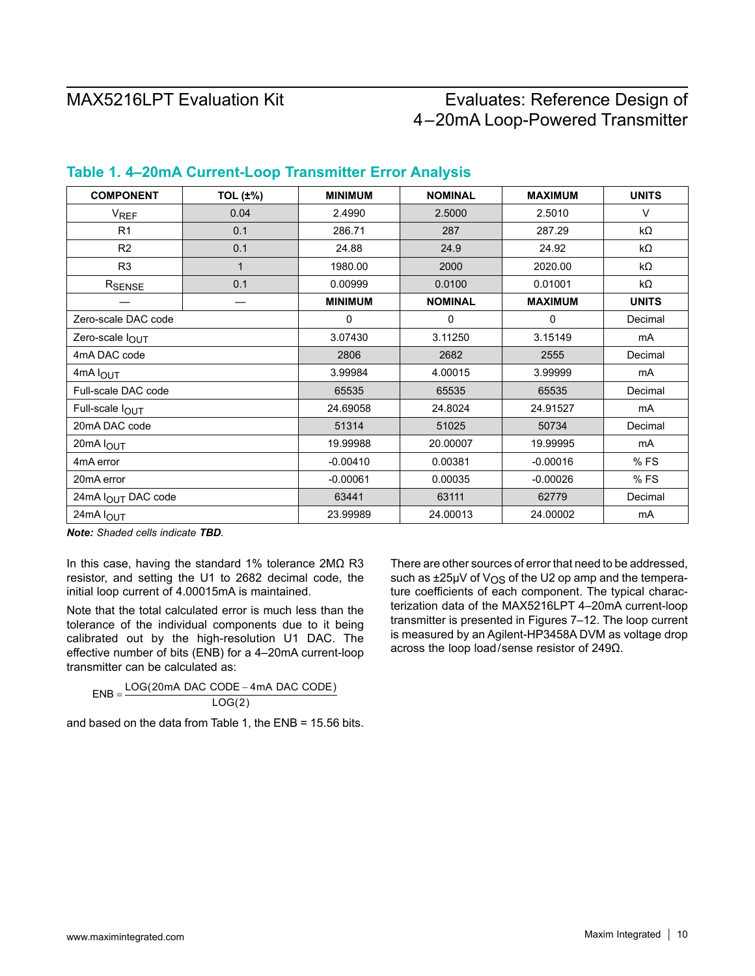| <b>COMPONENT</b>       | <b>TOL (±%)</b> | <b>MINIMUM</b> | <b>NOMINAL</b> | <b>MAXIMUM</b> | <b>UNITS</b>   |
|------------------------|-----------------|----------------|----------------|----------------|----------------|
| <b>V<sub>REF</sub></b> | 0.04            | 2.4990         | 2.5000         | 2.5010         | V              |
| R1                     | 0.1             | 286.71         | 287            | 287.29         | k $\Omega$     |
| R2                     | 0.1             | 24.88          | 24.9           | 24.92          | kΩ             |
| R <sub>3</sub>         | 1               | 1980.00        | 2000           | 2020.00        | $k\Omega$      |
| RSENSE                 | 0.1             | 0.00999        | 0.0100         | 0.01001        | $k\Omega$      |
|                        |                 | <b>MINIMUM</b> | <b>NOMINAL</b> | <b>MAXIMUM</b> | <b>UNITS</b>   |
| Zero-scale DAC code    |                 | 0              | 0              | 0              | Decimal        |
| Zero-scale lOUT        |                 | 3.07430        | 3.11250        | 3.15149        | mA             |
| 4mA DAC code           |                 | 2806           | 2682           | 2555           | Decimal        |
| 4mA lOUT               |                 | 3.99984        | 4.00015        | 3.99999        | mA             |
| Full-scale DAC code    |                 | 65535          | 65535          | 65535          | Decimal        |
| Full-scale lOUT        |                 | 24.69058       | 24.8024        | 24.91527       | mA             |
| 20mA DAC code          |                 | 51314          | 51025          | 50734          | Decimal        |
| 20mA lOUT              |                 | 19.99988       | 20.00007       | 19.99995       | m <sub>A</sub> |
| 4mA error              |                 | $-0.00410$     | 0.00381        | $-0.00016$     | %FS            |
| 20mA error             |                 | $-0.00061$     | 0.00035        | $-0.00026$     | %FS            |
| 24mA IOUT DAC code     |                 | 63441          | 63111          | 62779          | Decimal        |
| 24mA lOUT              |                 | 23.99989       | 24.00013       | 24.00002       | mA             |

### **Table 1. 4–20mA Current-Loop Transmitter Error Analysis**

*Note: Shaded cells indicate TBD.*

In this case, having the standard 1% tolerance 2MΩ R3 resistor, and setting the U1 to 2682 decimal code, the initial loop current of 4.00015mA is maintained.

Note that the total calculated error is much less than the tolerance of the individual components due to it being calibrated out by the high-resolution U1 DAC. The effective number of bits (ENB) for a 4–20mA current-loop transmitter can be calculated as:

 $ENB = \frac{LOG(20mA \, DAC \,CODE - 4mA \, DAC \,CODE)}{1.00(0)}$  $LOG(2)$ 

and based on the data from Table 1, the ENB = 15.56 bits.

There are other sources of error that need to be addressed, such as  $\pm 25\mu$ V of V<sub>OS</sub> of the U2 op amp and the temperature coefficients of each component. The typical characterization data of the MAX5216LPT 4–20mA current-loop transmitter is presented in Figures 7–12. The loop current is measured by an Agilent-HP3458A DVM as voltage drop across the loop load/sense resistor of 249Ω.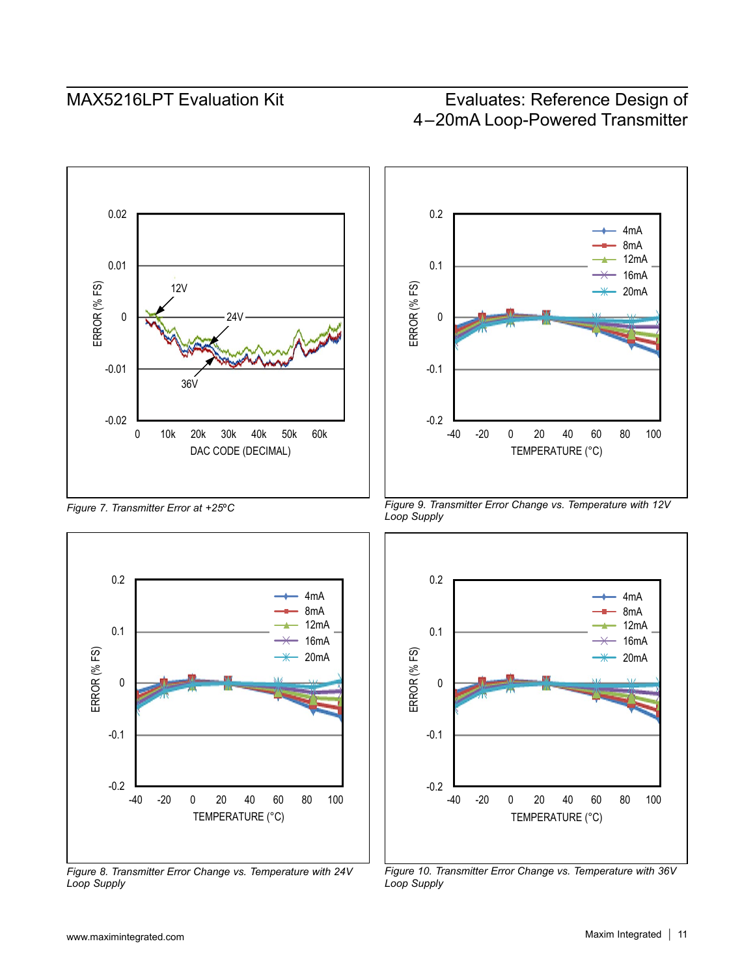

*Figure 7. Transmitter Error at +25*º*C*



*Figure 8. Transmitter Error Change vs. Temperature with 24V Loop Supply*



*Figure 9. Transmitter Error Change vs. Temperature with 12V Loop Supply*



*Figure 10. Transmitter Error Change vs. Temperature with 36V Loop Supply*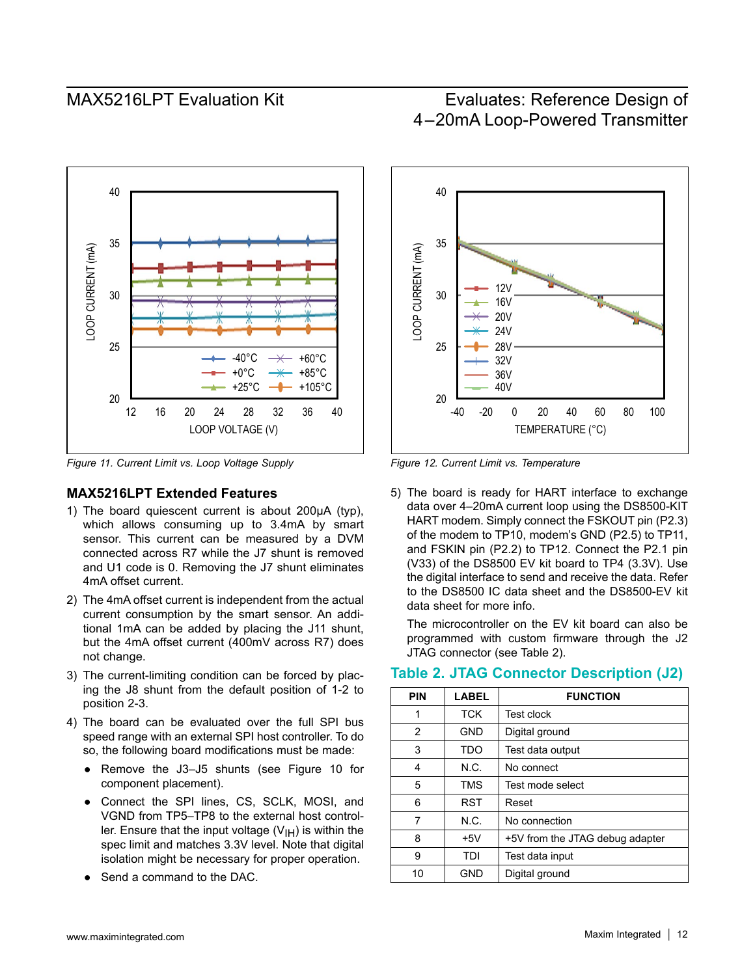

*Figure 11. Current Limit vs. Loop Voltage Supply Figure 12. Current Limit vs. Temperature*

### **MAX5216LPT Extended Features**

- 1) The board quiescent current is about 200uA (typ). which allows consuming up to 3.4mA by smart sensor. This current can be measured by a DVM connected across R7 while the J7 shunt is removed and U1 code is 0. Removing the J7 shunt eliminates 4mA offset current.
- 2) The 4mA offset current is independent from the actual current consumption by the smart sensor. An additional 1mA can be added by placing the J11 shunt, but the 4mA offset current (400mV across R7) does not change.
- 3) The current-limiting condition can be forced by placing the J8 shunt from the default position of 1-2 to position 2-3.
- 4) The board can be evaluated over the full SPI bus speed range with an external SPI host controller. To do so, the following board modifications must be made:
	- Remove the J3-J5 shunts (see Figure 10 for component placement).
	- Connect the SPI lines, CS, SCLK, MOSI, and VGND from TP5–TP8 to the external host controller. Ensure that the input voltage  $(V<sub>1H</sub>)$  is within the spec limit and matches 3.3V level. Note that digital isolation might be necessary for proper operation.
	- Send a command to the DAC.

## MAX5216LPT Evaluation Kit Evaluates: Reference Design of 4–20mA Loop-Powered Transmitter



5) The board is ready for HART interface to exchange data over 4–20mA current loop using the DS8500-KIT HART modem. Simply connect the FSKOUT pin (P2.3) of the modem to TP10, modem's GND (P2.5) to TP11, and FSKIN pin (P2.2) to TP12. Connect the P2.1 pin (V33) of the DS8500 EV kit board to TP4 (3.3V). Use the digital interface to send and receive the data. Refer to the DS8500 IC data sheet and the DS8500-EV kit data sheet for more info.

The microcontroller on the EV kit board can also be programmed with custom firmware through the J2 JTAG connector (see Table 2).

| <b>PIN</b> | <b>LABEL</b> | <b>FUNCTION</b>                 |
|------------|--------------|---------------------------------|
| 1          | <b>TCK</b>   | <b>Test clock</b>               |
| 2          | <b>GND</b>   | Digital ground                  |
| 3          | TDO          | Test data output                |
| 4          | N.C.         | No connect                      |
| 5          | <b>TMS</b>   | Test mode select                |
| 6          | <b>RST</b>   | Reset                           |
| 7          | N.C.         | No connection                   |
| 8          | $+5V$        | +5V from the JTAG debug adapter |
| 9          | TDI          | Test data input                 |
| 10         | <b>GND</b>   | Digital ground                  |

### **Table 2. JTAG Connector Description (J2)**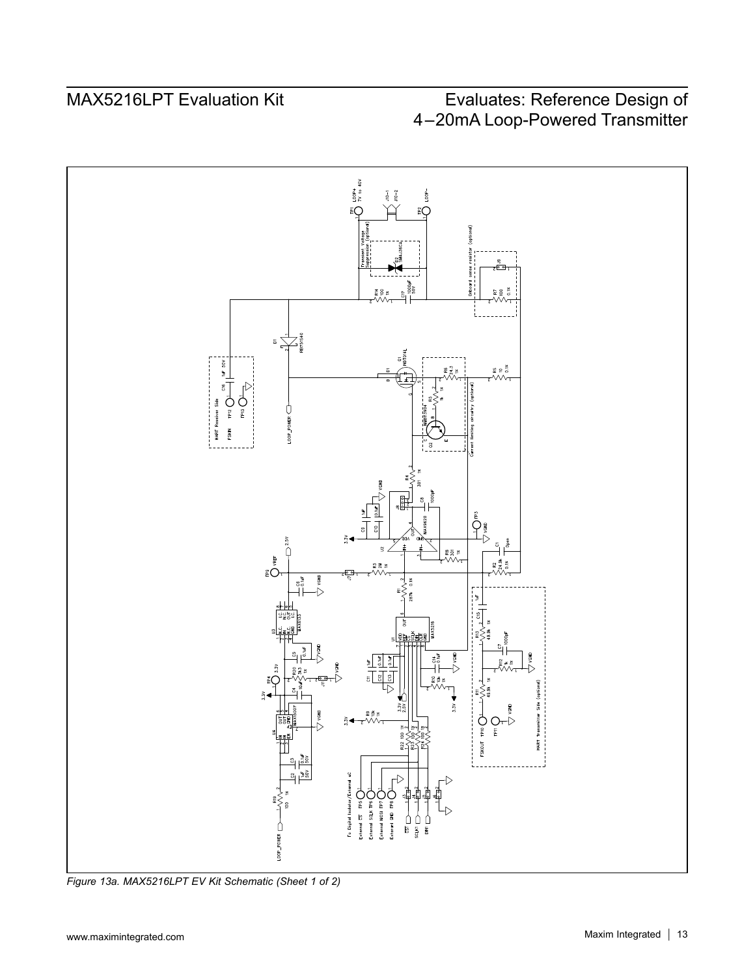

*Figure 13a. MAX5216LPT EV Kit Schematic (Sheet 1 of 2)*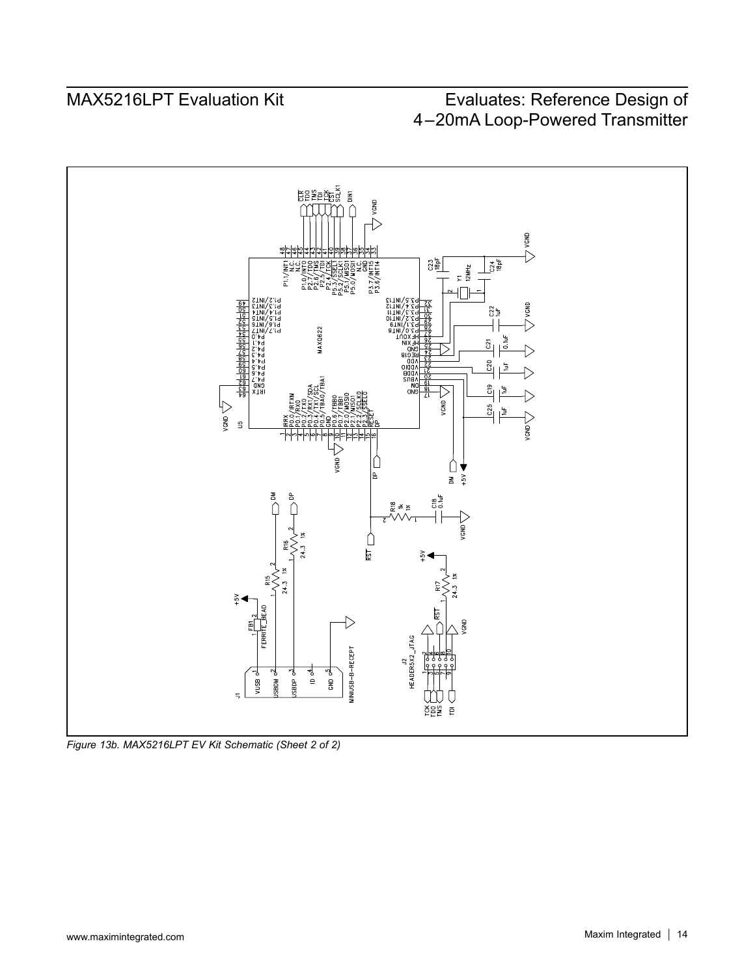

*Figure 13b. MAX5216LPT EV Kit Schematic (Sheet 2 of 2)*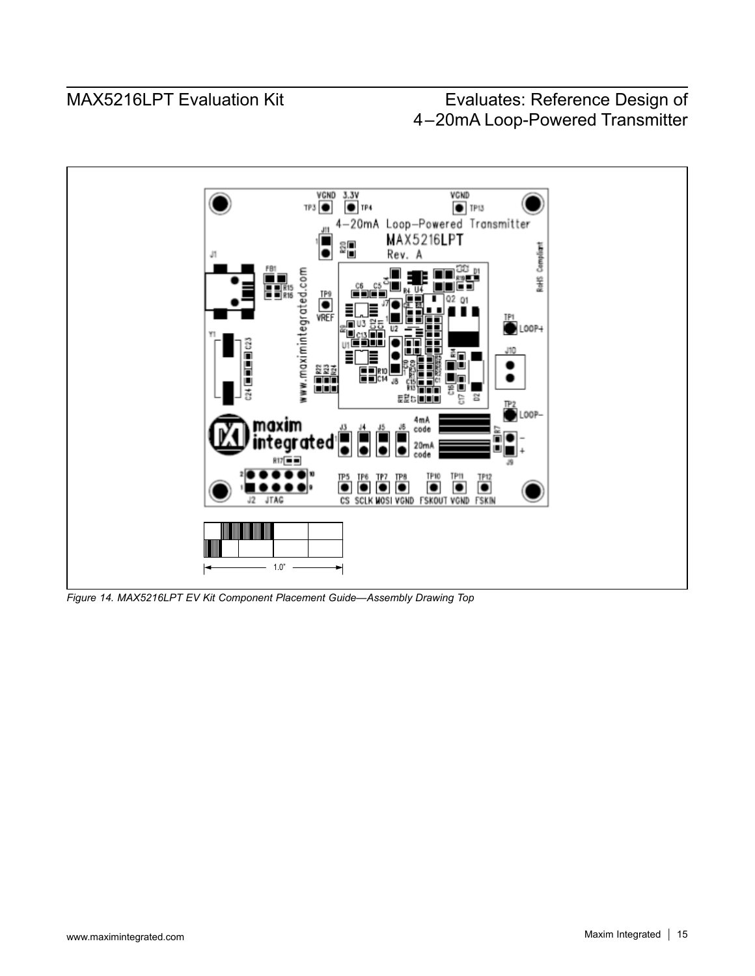

*Figure 14. MAX5216LPT EV Kit Component Placement Guide—Assembly Drawing Top*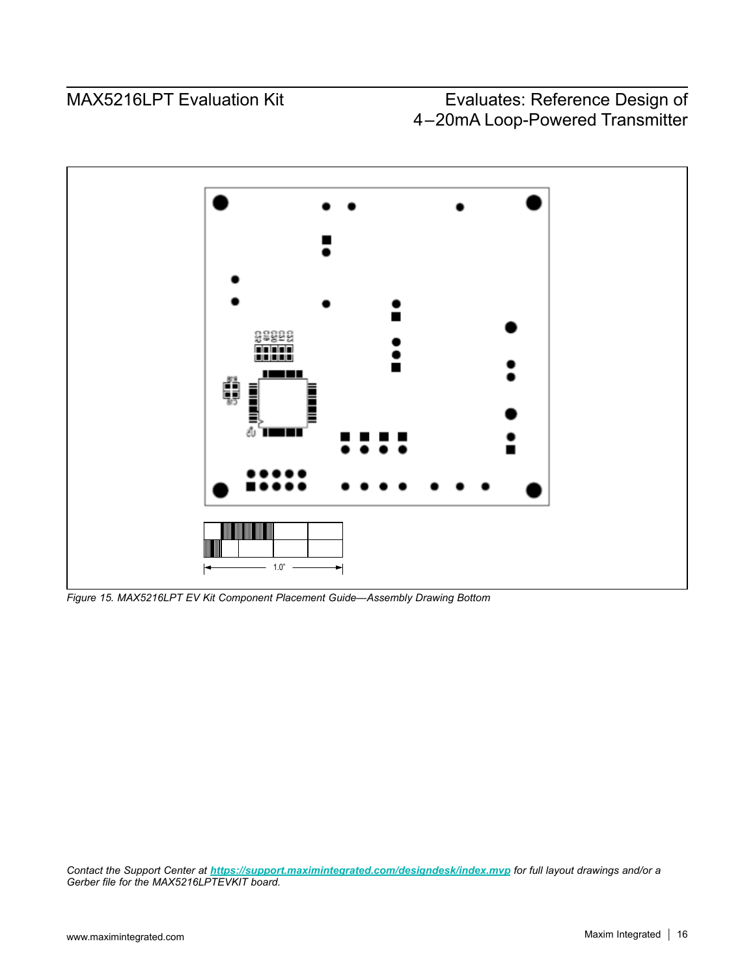

*Figure 15. MAX5216LPT EV Kit Component Placement Guide—Assembly Drawing Bottom*

*Contact the Support Center at <https://support.maximintegrated.com/designdesk/index.mvp> for full layout drawings and/or a Gerber file for the MAX5216LPTEVKIT board.*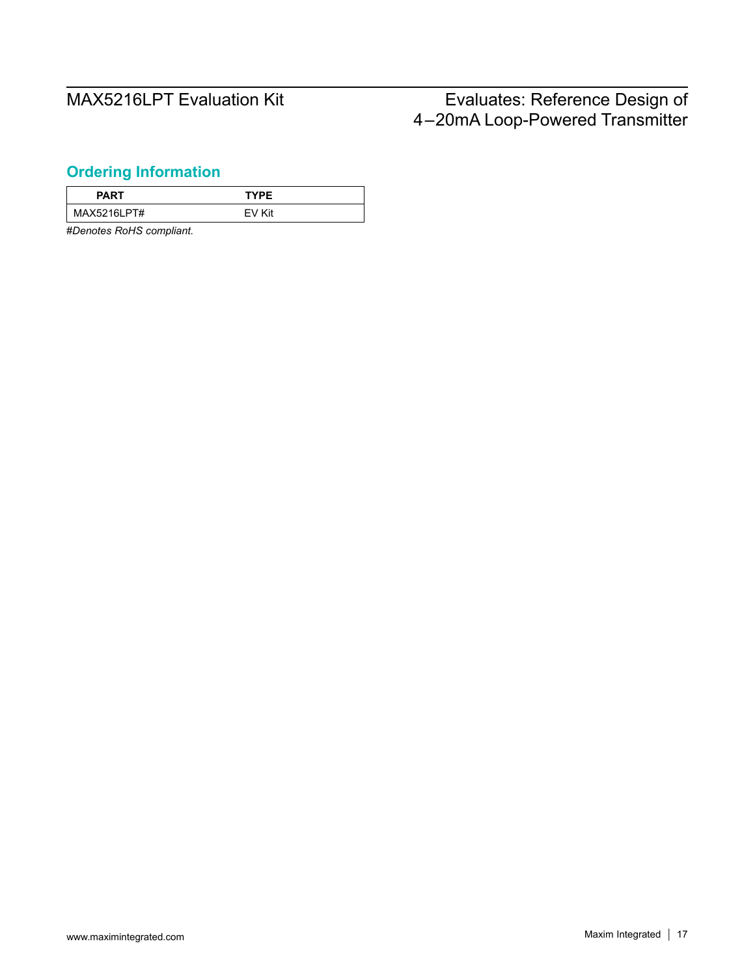## <span id="page-16-0"></span>**Ordering Information**

| <b>PART</b> | <b>TYPE</b> |
|-------------|-------------|
| MAX5216LPT# | Kit<br>FV.  |

#*Denotes RoHS compliant.*